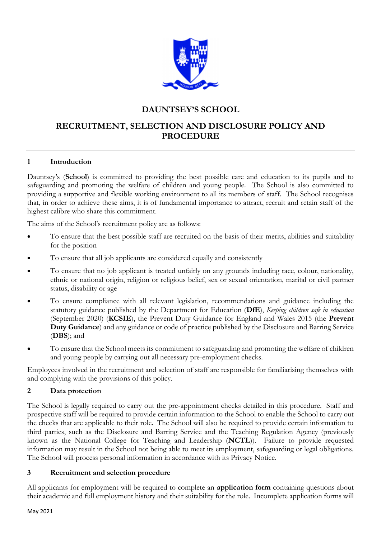

# **DAUNTSEY'S SCHOOL**

# **RECRUITMENT, SELECTION AND DISCLOSURE POLICY AND PROCEDURE**

# **1 Introduction**

Dauntsey's (**School**) is committed to providing the best possible care and education to its pupils and to safeguarding and promoting the welfare of children and young people. The School is also committed to providing a supportive and flexible working environment to all its members of staff. The School recognises that, in order to achieve these aims, it is of fundamental importance to attract, recruit and retain staff of the highest calibre who share this commitment.

The aims of the School's recruitment policy are as follows:

- To ensure that the best possible staff are recruited on the basis of their merits, abilities and suitability for the position
- To ensure that all job applicants are considered equally and consistently
- To ensure that no job applicant is treated unfairly on any grounds including race, colour, nationality, ethnic or national origin, religion or religious belief, sex or sexual orientation, marital or civil partner status, disability or age
- To ensure compliance with all relevant legislation, recommendations and guidance including the statutory guidance published by the Department for Education (**DfE**), *Keeping children safe in education* (September 2020) (**KCSIE**), the Prevent Duty Guidance for England and Wales 2015 (the **Prevent Duty Guidance**) and any guidance or code of practice published by the Disclosure and Barring Service (**DBS**); and
- To ensure that the School meets its commitment to safeguarding and promoting the welfare of children and young people by carrying out all necessary pre-employment checks.

Employees involved in the recruitment and selection of staff are responsible for familiarising themselves with and complying with the provisions of this policy.

# **2 Data protection**

The School is legally required to carry out the pre-appointment checks detailed in this procedure. Staff and prospective staff will be required to provide certain information to the School to enable the School to carry out the checks that are applicable to their role. The School will also be required to provide certain information to third parties, such as the Disclosure and Barring Service and the Teaching Regulation Agency (previously known as the National College for Teaching and Leadership (**NCTL**)). Failure to provide requested information may result in the School not being able to meet its employment, safeguarding or legal obligations. The School will process personal information in accordance with its Privacy Notice.

# **3 Recruitment and selection procedure**

All applicants for employment will be required to complete an **application form** containing questions about their academic and full employment history and their suitability for the role. Incomplete application forms will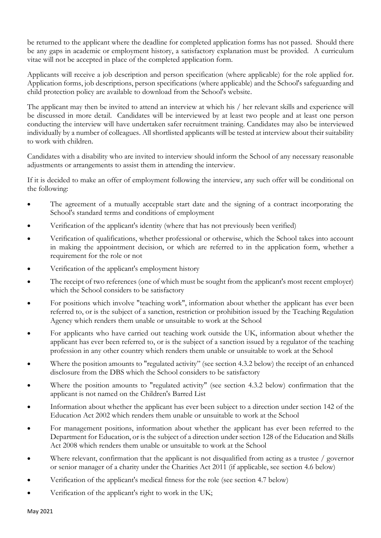be returned to the applicant where the deadline for completed application forms has not passed. Should there be any gaps in academic or employment history, a satisfactory explanation must be provided. A curriculum vitae will not be accepted in place of the completed application form.

Applicants will receive a job description and person specification (where applicable) for the role applied for. Application forms, job descriptions, person specifications (where applicable) and the School's safeguarding and child protection policy are available to download from the School's website.

The applicant may then be invited to attend an interview at which his / her relevant skills and experience will be discussed in more detail. Candidates will be interviewed by at least two people and at least one person conducting the interview will have undertaken safer recruitment training. Candidates may also be interviewed individually by a number of colleagues. All shortlisted applicants will be tested at interview about their suitability to work with children.

Candidates with a disability who are invited to interview should inform the School of any necessary reasonable adjustments or arrangements to assist them in attending the interview.

If it is decided to make an offer of employment following the interview, any such offer will be conditional on the following:

- The agreement of a mutually acceptable start date and the signing of a contract incorporating the School's standard terms and conditions of employment
- Verification of the applicant's identity (where that has not previously been verified)
- Verification of qualifications, whether professional or otherwise, which the School takes into account in making the appointment decision, or which are referred to in the application form, whether a requirement for the role or not
- Verification of the applicant's employment history
- The receipt of two references (one of which must be sought from the applicant's most recent employer) which the School considers to be satisfactory
- For positions which involve "teaching work", information about whether the applicant has ever been referred to, or is the subject of a sanction, restriction or prohibition issued by the Teaching Regulation Agency which renders them unable or unsuitable to work at the School
- For applicants who have carried out teaching work outside the UK, information about whether the applicant has ever been referred to, or is the subject of a sanction issued by a regulator of the teaching profession in any other country which renders them unable or unsuitable to work at the School
- Where the position amounts to "regulated activity" (see section 4.3.2 below) the receipt of an enhanced disclosure from the DBS which the School considers to be satisfactory
- Where the position amounts to "regulated activity" (see section 4.3.2 below) confirmation that the applicant is not named on the Children's Barred List
- Information about whether the applicant has ever been subject to a direction under section 142 of the Education Act 2002 which renders them unable or unsuitable to work at the School
- For management positions, information about whether the applicant has ever been referred to the Department for Education, or is the subject of a direction under section 128 of the Education and Skills Act 2008 which renders them unable or unsuitable to work at the School
- Where relevant, confirmation that the applicant is not disqualified from acting as a trustee / governor or senior manager of a charity under the Charities Act 2011 (if applicable, see section 4.6 below)
- Verification of the applicant's medical fitness for the role (see section 4.7 below)
- Verification of the applicant's right to work in the UK;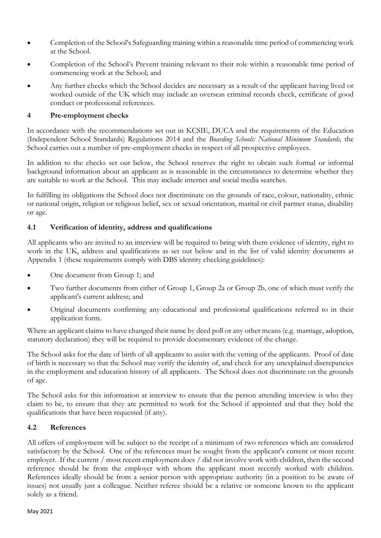- Completion of the School's Safeguarding training within a reasonable time period of commencing work at the School.
- Completion of the School's Prevent training relevant to their role within a reasonable time period of commencing work at the School; and
- Any further checks which the School decides are necessary as a result of the applicant having lived or worked outside of the UK which may include an overseas criminal records check, certificate of good conduct or professional references.

# **4 Pre-employment checks**

In accordance with the recommendations set out in KCSIE, DUCA and the requirements of the Education (Independent School Standards) Regulations 2014 and the *Boarding Schools: National Minimum Standards,* the School carries out a number of pre-employment checks in respect of all prospective employees.

In addition to the checks set out below, the School reserves the right to obtain such formal or informal background information about an applicant as is reasonable in the circumstances to determine whether they are suitable to work at the School. This may include internet and social media searches.

In fulfilling its obligations the School does not discriminate on the grounds of race, colour, nationality, ethnic or national origin, religion or religious belief, sex or sexual orientation, marital or civil partner status, disability or age.

# **4.1 Verification of identity, address and qualifications**

All applicants who are invited to an interview will be required to bring with them evidence of identity, right to work in the UK, address and qualifications as set out below and in the list of valid identity documents at Appendix 1 (these requirements comply with DBS identity checking guidelines):

- One document from Group 1; and
- Two further documents from either of Group 1, Group 2a or Group 2b, one of which must verify the applicant's current address; and
- Original documents confirming any educational and professional qualifications referred to in their application form.

Where an applicant claims to have changed their name by deed poll or any other means (e.g. marriage, adoption, statutory declaration) they will be required to provide documentary evidence of the change.

The School asks for the date of birth of all applicants to assist with the vetting of the applicants. Proof of date of birth is necessary so that the School may verify the identity of, and check for any unexplained discrepancies in the employment and education history of all applicants. The School does not discriminate on the grounds of age.

The School asks for this information at interview to ensure that the person attending interview is who they claim to be, to ensure that they are permitted to work for the School if appointed and that they hold the qualifications that have been requested (if any).

# **4.2 References**

All offers of employment will be subject to the receipt of a minimum of two references which are considered satisfactory by the School. One of the references must be sought from the applicant's current or most recent employer. If the current / most recent employment does / did not involve work with children, then the second reference should be from the employer with whom the applicant most recently worked with children. References ideally should be from a senior person with appropriate authority (in a position to be aware of issues) not usually just a colleague. Neither referee should be a relative or someone known to the applicant solely as a friend.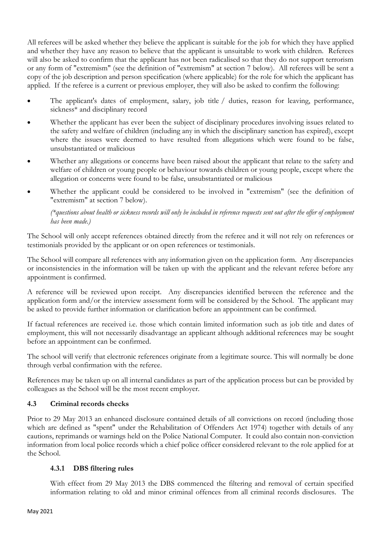All referees will be asked whether they believe the applicant is suitable for the job for which they have applied and whether they have any reason to believe that the applicant is unsuitable to work with children. Referees will also be asked to confirm that the applicant has not been radicalised so that they do not support terrorism or any form of "extremism" (see the definition of "extremism" at section 7 below). All referees will be sent a copy of the job description and person specification (where applicable) for the role for which the applicant has applied. If the referee is a current or previous employer, they will also be asked to confirm the following:

- The applicant's dates of employment, salary, job title / duties, reason for leaving, performance, sickness\* and disciplinary record
- Whether the applicant has ever been the subject of disciplinary procedures involving issues related to the safety and welfare of children (including any in which the disciplinary sanction has expired), except where the issues were deemed to have resulted from allegations which were found to be false, unsubstantiated or malicious
- Whether any allegations or concerns have been raised about the applicant that relate to the safety and welfare of children or young people or behaviour towards children or young people, except where the allegation or concerns were found to be false, unsubstantiated or malicious
- Whether the applicant could be considered to be involved in "extremism" (see the definition of "extremism" at section 7 below).

*(\*questions about health or sickness records will only be included in reference requests sent out after the offer of employment has been made.)*

The School will only accept references obtained directly from the referee and it will not rely on references or testimonials provided by the applicant or on open references or testimonials.

The School will compare all references with any information given on the application form. Any discrepancies or inconsistencies in the information will be taken up with the applicant and the relevant referee before any appointment is confirmed.

A reference will be reviewed upon receipt. Any discrepancies identified between the reference and the application form and/or the interview assessment form will be considered by the School. The applicant may be asked to provide further information or clarification before an appointment can be confirmed.

If factual references are received i.e. those which contain limited information such as job title and dates of employment, this will not necessarily disadvantage an applicant although additional references may be sought before an appointment can be confirmed.

The school will verify that electronic references originate from a legitimate source. This will normally be done through verbal confirmation with the referee.

References may be taken up on all internal candidates as part of the application process but can be provided by colleagues as the School will be the most recent employer.

# **4.3 Criminal records checks**

Prior to 29 May 2013 an enhanced disclosure contained details of all convictions on record (including those which are defined as "spent" under the Rehabilitation of Offenders Act 1974) together with details of any cautions, reprimands or warnings held on the Police National Computer. It could also contain non-conviction information from local police records which a chief police officer considered relevant to the role applied for at the School.

# **4.3.1 DBS filtering rules**

With effect from 29 May 2013 the DBS commenced the filtering and removal of certain specified information relating to old and minor criminal offences from all criminal records disclosures. The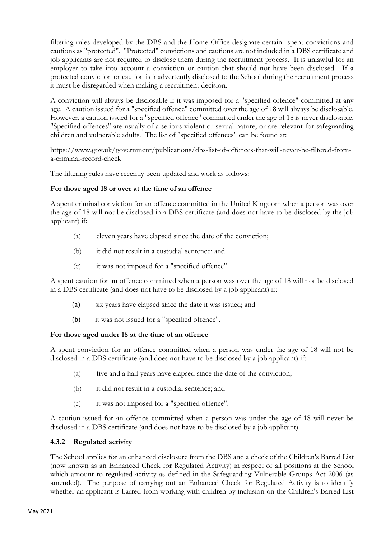filtering rules developed by the DBS and the Home Office designate certain spent convictions and cautions as "protected". "Protected" convictions and cautions are not included in a DBS certificate and job applicants are not required to disclose them during the recruitment process. It is unlawful for an employer to take into account a conviction or caution that should not have been disclosed. If a protected conviction or caution is inadvertently disclosed to the School during the recruitment process it must be disregarded when making a recruitment decision.

A conviction will always be disclosable if it was imposed for a "specified offence" committed at any age. A caution issued for a "specified offence" committed over the age of 18 will always be disclosable. However, a caution issued for a "specified offence" committed under the age of 18 is never disclosable. "Specified offences" are usually of a serious violent or sexual nature, or are relevant for safeguarding children and vulnerable adults. The list of "specified offences" can be found at:

https://www.gov.uk/government/publications/dbs-list-of-offences-that-will-never-be-filtered-froma-criminal-record-check

The filtering rules have recently been updated and work as follows:

# **For those aged 18 or over at the time of an offence**

A spent criminal conviction for an offence committed in the United Kingdom when a person was over the age of 18 will not be disclosed in a DBS certificate (and does not have to be disclosed by the job applicant) if:

- (a) eleven years have elapsed since the date of the conviction;
- (b) it did not result in a custodial sentence; and
- (c) it was not imposed for a "specified offence".

A spent caution for an offence committed when a person was over the age of 18 will not be disclosed in a DBS certificate (and does not have to be disclosed by a job applicant) if:

- (a) six years have elapsed since the date it was issued; and
- (b) it was not issued for a "specified offence".

#### **For those aged under 18 at the time of an offence**

A spent conviction for an offence committed when a person was under the age of 18 will not be disclosed in a DBS certificate (and does not have to be disclosed by a job applicant) if:

- (a) five and a half years have elapsed since the date of the conviction;
- (b) it did not result in a custodial sentence; and
- (c) it was not imposed for a "specified offence".

A caution issued for an offence committed when a person was under the age of 18 will never be disclosed in a DBS certificate (and does not have to be disclosed by a job applicant).

#### **4.3.2 Regulated activity**

The School applies for an enhanced disclosure from the DBS and a check of the Children's Barred List (now known as an Enhanced Check for Regulated Activity) in respect of all positions at the School which amount to regulated activity as defined in the Safeguarding Vulnerable Groups Act 2006 (as amended). The purpose of carrying out an Enhanced Check for Regulated Activity is to identify whether an applicant is barred from working with children by inclusion on the Children's Barred List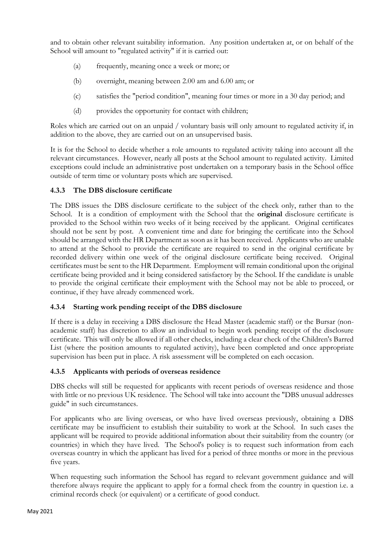and to obtain other relevant suitability information. Any position undertaken at, or on behalf of the School will amount to "regulated activity" if it is carried out:

- (a) frequently, meaning once a week or more; or
- (b) overnight, meaning between 2.00 am and 6.00 am; or
- (c) satisfies the "period condition", meaning four times or more in a 30 day period; and
- (d) provides the opportunity for contact with children;

Roles which are carried out on an unpaid / voluntary basis will only amount to regulated activity if, in addition to the above, they are carried out on an unsupervised basis.

It is for the School to decide whether a role amounts to regulated activity taking into account all the relevant circumstances. However, nearly all posts at the School amount to regulated activity. Limited exceptions could include an administrative post undertaken on a temporary basis in the School office outside of term time or voluntary posts which are supervised.

# **4.3.3 The DBS disclosure certificate**

The DBS issues the DBS disclosure certificate to the subject of the check only, rather than to the School. It is a condition of employment with the School that the **original** disclosure certificate is provided to the School within two weeks of it being received by the applicant. Original certificates should not be sent by post. A convenient time and date for bringing the certificate into the School should be arranged with the HR Department as soon as it has been received. Applicants who are unable to attend at the School to provide the certificate are required to send in the original certificate by recorded delivery within one week of the original disclosure certificate being received. Original certificates must be sent to the HR Department. Employment will remain conditional upon the original certificate being provided and it being considered satisfactory by the School. If the candidate is unable to provide the original certificate their employment with the School may not be able to proceed, or continue, if they have already commenced work.

# **4.3.4 Starting work pending receipt of the DBS disclosure**

If there is a delay in receiving a DBS disclosure the Head Master (academic staff) or the Bursar (nonacademic staff) has discretion to allow an individual to begin work pending receipt of the disclosure certificate. This will only be allowed if all other checks, including a clear check of the Children's Barred List (where the position amounts to regulated activity), have been completed and once appropriate supervision has been put in place. A risk assessment will be completed on each occasion.

#### **4.3.5 Applicants with periods of overseas residence**

DBS checks will still be requested for applicants with recent periods of overseas residence and those with little or no previous UK residence. The School will take into account the "DBS unusual addresses guide" in such circumstances.

For applicants who are living overseas, or who have lived overseas previously, obtaining a DBS certificate may be insufficient to establish their suitability to work at the School. In such cases the applicant will be required to provide additional information about their suitability from the country (or countries) in which they have lived. The School's policy is to request such information from each overseas country in which the applicant has lived for a period of three months or more in the previous five years.

When requesting such information the School has regard to relevant government guidance and will therefore always require the applicant to apply for a formal check from the country in question i.e. a criminal records check (or equivalent) or a certificate of good conduct.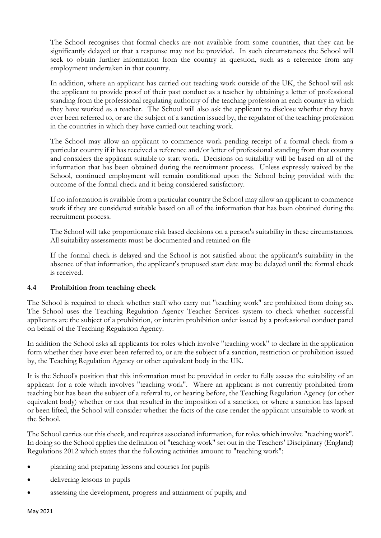The School recognises that formal checks are not available from some countries, that they can be significantly delayed or that a response may not be provided. In such circumstances the School will seek to obtain further information from the country in question, such as a reference from any employment undertaken in that country.

In addition, where an applicant has carried out teaching work outside of the UK, the School will ask the applicant to provide proof of their past conduct as a teacher by obtaining a letter of professional standing from the professional regulating authority of the teaching profession in each country in which they have worked as a teacher. The School will also ask the applicant to disclose whether they have ever been referred to, or are the subject of a sanction issued by, the regulator of the teaching profession in the countries in which they have carried out teaching work.

The School may allow an applicant to commence work pending receipt of a formal check from a particular country if it has received a reference and/or letter of professional standing from that country and considers the applicant suitable to start work. Decisions on suitability will be based on all of the information that has been obtained during the recruitment process. Unless expressly waived by the School, continued employment will remain conditional upon the School being provided with the outcome of the formal check and it being considered satisfactory.

If no information is available from a particular country the School may allow an applicant to commence work if they are considered suitable based on all of the information that has been obtained during the recruitment process.

The School will take proportionate risk based decisions on a person's suitability in these circumstances. All suitability assessments must be documented and retained on file

If the formal check is delayed and the School is not satisfied about the applicant's suitability in the absence of that information, the applicant's proposed start date may be delayed until the formal check is received.

# **4.4 Prohibition from teaching check**

The School is required to check whether staff who carry out "teaching work" are prohibited from doing so. The School uses the Teaching Regulation Agency Teacher Services system to check whether successful applicants are the subject of a prohibition, or interim prohibition order issued by a professional conduct panel on behalf of the Teaching Regulation Agency.

In addition the School asks all applicants for roles which involve "teaching work" to declare in the application form whether they have ever been referred to, or are the subject of a sanction, restriction or prohibition issued by, the Teaching Regulation Agency or other equivalent body in the UK.

It is the School's position that this information must be provided in order to fully assess the suitability of an applicant for a role which involves "teaching work". Where an applicant is not currently prohibited from teaching but has been the subject of a referral to, or hearing before, the Teaching Regulation Agency (or other equivalent body) whether or not that resulted in the imposition of a sanction, or where a sanction has lapsed or been lifted, the School will consider whether the facts of the case render the applicant unsuitable to work at the School.

The School carries out this check, and requires associated information, for roles which involve "teaching work". In doing so the School applies the definition of "teaching work" set out in the Teachers' Disciplinary (England) Regulations 2012 which states that the following activities amount to "teaching work":

- planning and preparing lessons and courses for pupils
- delivering lessons to pupils
- assessing the development, progress and attainment of pupils; and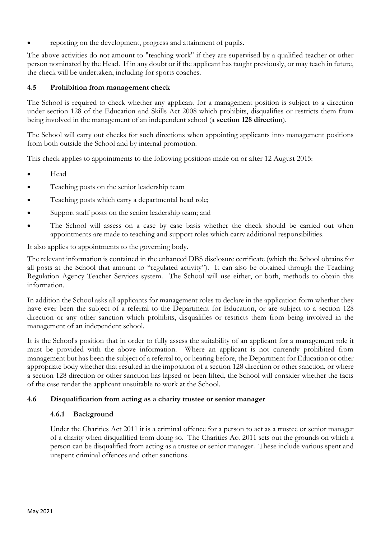• reporting on the development, progress and attainment of pupils.

The above activities do not amount to "teaching work" if they are supervised by a qualified teacher or other person nominated by the Head. If in any doubt or if the applicant has taught previously, or may teach in future, the check will be undertaken, including for sports coaches.

# **4.5 Prohibition from management check**

The School is required to check whether any applicant for a management position is subject to a direction under section 128 of the Education and Skills Act 2008 which prohibits, disqualifies or restricts them from being involved in the management of an independent school (a **section 128 direction**).

The School will carry out checks for such directions when appointing applicants into management positions from both outside the School and by internal promotion.

This check applies to appointments to the following positions made on or after 12 August 2015:

- Head
- Teaching posts on the senior leadership team
- Teaching posts which carry a departmental head role;
- Support staff posts on the senior leadership team; and
- The School will assess on a case by case basis whether the check should be carried out when appointments are made to teaching and support roles which carry additional responsibilities.

It also applies to appointments to the governing body.

The relevant information is contained in the enhanced DBS disclosure certificate (which the School obtains for all posts at the School that amount to "regulated activity"). It can also be obtained through the Teaching Regulation Agency Teacher Services system. The School will use either, or both, methods to obtain this information.

In addition the School asks all applicants for management roles to declare in the application form whether they have ever been the subject of a referral to the Department for Education, or are subject to a section 128 direction or any other sanction which prohibits, disqualifies or restricts them from being involved in the management of an independent school.

It is the School's position that in order to fully assess the suitability of an applicant for a management role it must be provided with the above information. Where an applicant is not currently prohibited from management but has been the subject of a referral to, or hearing before, the Department for Education or other appropriate body whether that resulted in the imposition of a section 128 direction or other sanction, or where a section 128 direction or other sanction has lapsed or been lifted, the School will consider whether the facts of the case render the applicant unsuitable to work at the School.

#### **4.6 Disqualification from acting as a charity trustee or senior manager**

#### **4.6.1 Background**

Under the Charities Act 2011 it is a criminal offence for a person to act as a trustee or senior manager of a charity when disqualified from doing so. The Charities Act 2011 sets out the grounds on which a person can be disqualified from acting as a trustee or senior manager. These include various spent and unspent criminal offences and other sanctions.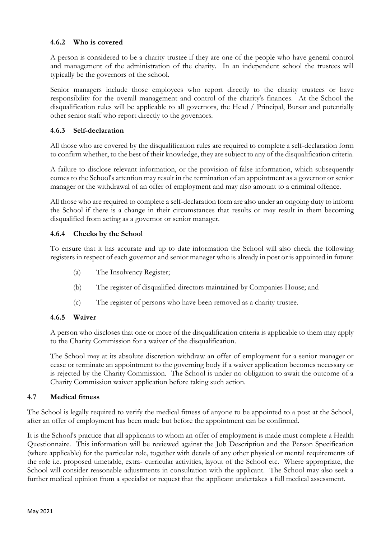# **4.6.2 Who is covered**

A person is considered to be a charity trustee if they are one of the people who have general control and management of the administration of the charity. In an independent school the trustees will typically be the governors of the school.

Senior managers include those employees who report directly to the charity trustees or have responsibility for the overall management and control of the charity's finances. At the School the disqualification rules will be applicable to all governors, the Head / Principal, Bursar and potentially other senior staff who report directly to the governors.

# **4.6.3 Self-declaration**

All those who are covered by the disqualification rules are required to complete a self-declaration form to confirm whether, to the best of their knowledge, they are subject to any of the disqualification criteria.

A failure to disclose relevant information, or the provision of false information, which subsequently comes to the School's attention may result in the termination of an appointment as a governor or senior manager or the withdrawal of an offer of employment and may also amount to a criminal offence.

All those who are required to complete a self-declaration form are also under an ongoing duty to inform the School if there is a change in their circumstances that results or may result in them becoming disqualified from acting as a governor or senior manager.

# **4.6.4 Checks by the School**

To ensure that it has accurate and up to date information the School will also check the following registers in respect of each governor and senior manager who is already in post or is appointed in future:

- (a) The Insolvency Register;
- (b) The register of disqualified directors maintained by Companies House; and
- (c) The register of persons who have been removed as a charity trustee.

#### **4.6.5 Waiver**

A person who discloses that one or more of the disqualification criteria is applicable to them may apply to the Charity Commission for a waiver of the disqualification.

The School may at its absolute discretion withdraw an offer of employment for a senior manager or cease or terminate an appointment to the governing body if a waiver application becomes necessary or is rejected by the Charity Commission. The School is under no obligation to await the outcome of a Charity Commission waiver application before taking such action.

#### **4.7 Medical fitness**

The School is legally required to verify the medical fitness of anyone to be appointed to a post at the School, after an offer of employment has been made but before the appointment can be confirmed.

It is the School's practice that all applicants to whom an offer of employment is made must complete a Health Questionnaire. This information will be reviewed against the Job Description and the Person Specification (where applicable) for the particular role, together with details of any other physical or mental requirements of the role i.e. proposed timetable, extra- curricular activities, layout of the School etc. Where appropriate, the School will consider reasonable adjustments in consultation with the applicant. The School may also seek a further medical opinion from a specialist or request that the applicant undertakes a full medical assessment.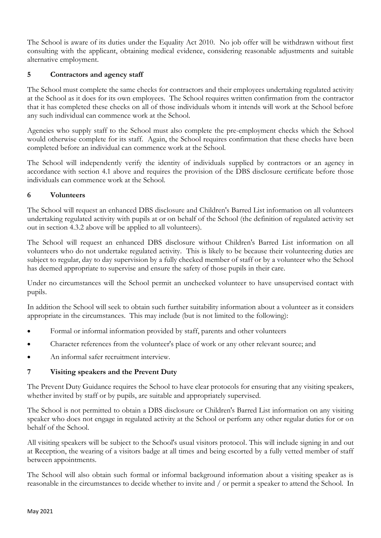The School is aware of its duties under the Equality Act 2010. No job offer will be withdrawn without first consulting with the applicant, obtaining medical evidence, considering reasonable adjustments and suitable alternative employment.

# **5 Contractors and agency staff**

The School must complete the same checks for contractors and their employees undertaking regulated activity at the School as it does for its own employees. The School requires written confirmation from the contractor that it has completed these checks on all of those individuals whom it intends will work at the School before any such individual can commence work at the School.

Agencies who supply staff to the School must also complete the pre-employment checks which the School would otherwise complete for its staff. Again, the School requires confirmation that these checks have been completed before an individual can commence work at the School.

The School will independently verify the identity of individuals supplied by contractors or an agency in accordance with section 4.1 above and requires the provision of the DBS disclosure certificate before those individuals can commence work at the School.

# **6 Volunteers**

The School will request an enhanced DBS disclosure and Children's Barred List information on all volunteers undertaking regulated activity with pupils at or on behalf of the School (the definition of regulated activity set out in section 4.3.2 above will be applied to all volunteers).

The School will request an enhanced DBS disclosure without Children's Barred List information on all volunteers who do not undertake regulated activity. This is likely to be because their volunteering duties are subject to regular, day to day supervision by a fully checked member of staff or by a volunteer who the School has deemed appropriate to supervise and ensure the safety of those pupils in their care.

Under no circumstances will the School permit an unchecked volunteer to have unsupervised contact with pupils.

In addition the School will seek to obtain such further suitability information about a volunteer as it considers appropriate in the circumstances. This may include (but is not limited to the following):

- Formal or informal information provided by staff, parents and other volunteers
- Character references from the volunteer's place of work or any other relevant source; and
- An informal safer recruitment interview.

#### **7 Visiting speakers and the Prevent Duty**

The Prevent Duty Guidance requires the School to have clear protocols for ensuring that any visiting speakers, whether invited by staff or by pupils, are suitable and appropriately supervised.

The School is not permitted to obtain a DBS disclosure or Children's Barred List information on any visiting speaker who does not engage in regulated activity at the School or perform any other regular duties for or on behalf of the School.

All visiting speakers will be subject to the School's usual visitors protocol. This will include signing in and out at Reception, the wearing of a visitors badge at all times and being escorted by a fully vetted member of staff between appointments.

The School will also obtain such formal or informal background information about a visiting speaker as is reasonable in the circumstances to decide whether to invite and / or permit a speaker to attend the School. In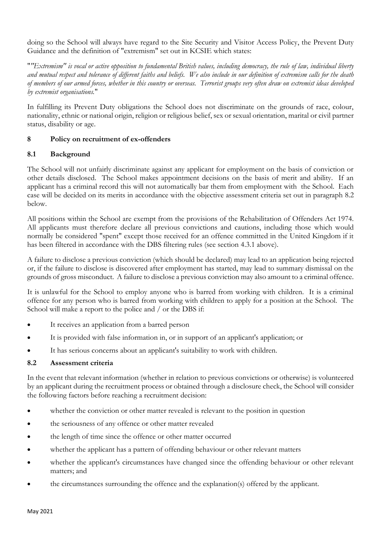doing so the School will always have regard to the Site Security and Visitor Access Policy, the Prevent Duty Guidance and the definition of "extremism" set out in KCSIE which states:

"*"Extremism" is vocal or active opposition to fundamental British values, including democracy, the rule of law, individual liberty and mutual respect and tolerance of different faiths and beliefs. We also include in our definition of extremism calls for the death of members of our armed forces, whether in this country or overseas. Terrorist groups very often draw on extremist ideas developed by extremist organisations.*"

In fulfilling its Prevent Duty obligations the School does not discriminate on the grounds of race, colour, nationality, ethnic or national origin, religion or religious belief, sex or sexual orientation, marital or civil partner status, disability or age.

# **8 Policy on recruitment of ex-offenders**

#### **8.1 Background**

The School will not unfairly discriminate against any applicant for employment on the basis of conviction or other details disclosed. The School makes appointment decisions on the basis of merit and ability. If an applicant has a criminal record this will not automatically bar them from employment with the School. Each case will be decided on its merits in accordance with the objective assessment criteria set out in paragraph 8.2 below.

All positions within the School are exempt from the provisions of the Rehabilitation of Offenders Act 1974. All applicants must therefore declare all previous convictions and cautions, including those which would normally be considered "spent" except those received for an offence committed in the United Kingdom if it has been filtered in accordance with the DBS filtering rules (see section 4.3.1 above).

A failure to disclose a previous conviction (which should be declared) may lead to an application being rejected or, if the failure to disclose is discovered after employment has started, may lead to summary dismissal on the grounds of gross misconduct. A failure to disclose a previous conviction may also amount to a criminal offence.

It is unlawful for the School to employ anyone who is barred from working with children. It is a criminal offence for any person who is barred from working with children to apply for a position at the School. The School will make a report to the police and / or the DBS if:

- It receives an application from a barred person
- It is provided with false information in, or in support of an applicant's application; or
- It has serious concerns about an applicant's suitability to work with children.

#### **8.2 Assessment criteria**

In the event that relevant information (whether in relation to previous convictions or otherwise) is volunteered by an applicant during the recruitment process or obtained through a disclosure check, the School will consider the following factors before reaching a recruitment decision:

- whether the conviction or other matter revealed is relevant to the position in question
- the seriousness of any offence or other matter revealed
- the length of time since the offence or other matter occurred
- whether the applicant has a pattern of offending behaviour or other relevant matters
- whether the applicant's circumstances have changed since the offending behaviour or other relevant matters; and
- the circumstances surrounding the offence and the explanation(s) offered by the applicant.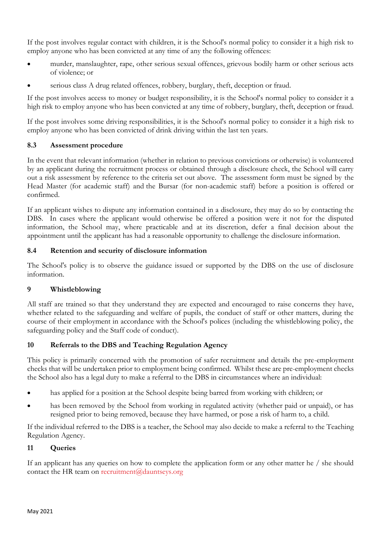If the post involves regular contact with children, it is the School's normal policy to consider it a high risk to employ anyone who has been convicted at any time of any the following offences:

- murder, manslaughter, rape, other serious sexual offences, grievous bodily harm or other serious acts of violence; or
- serious class A drug related offences, robbery, burglary, theft, deception or fraud.

If the post involves access to money or budget responsibility, it is the School's normal policy to consider it a high risk to employ anyone who has been convicted at any time of robbery, burglary, theft, deception or fraud.

If the post involves some driving responsibilities, it is the School's normal policy to consider it a high risk to employ anyone who has been convicted of drink driving within the last ten years.

# **8.3 Assessment procedure**

In the event that relevant information (whether in relation to previous convictions or otherwise) is volunteered by an applicant during the recruitment process or obtained through a disclosure check, the School will carry out a risk assessment by reference to the criteria set out above. The assessment form must be signed by the Head Master (for academic staff) and the Bursar (for non-academic staff) before a position is offered or confirmed.

If an applicant wishes to dispute any information contained in a disclosure, they may do so by contacting the DBS. In cases where the applicant would otherwise be offered a position were it not for the disputed information, the School may, where practicable and at its discretion, defer a final decision about the appointment until the applicant has had a reasonable opportunity to challenge the disclosure information.

# **8.4 Retention and security of disclosure information**

The School's policy is to observe the guidance issued or supported by the DBS on the use of disclosure information.

# **9 Whistleblowing**

All staff are trained so that they understand they are expected and encouraged to raise concerns they have, whether related to the safeguarding and welfare of pupils, the conduct of staff or other matters, during the course of their employment in accordance with the School's polices (including the whistleblowing policy, the safeguarding policy and the Staff code of conduct).

# **10 Referrals to the DBS and Teaching Regulation Agency**

This policy is primarily concerned with the promotion of safer recruitment and details the pre-employment checks that will be undertaken prior to employment being confirmed. Whilst these are pre-employment checks the School also has a legal duty to make a referral to the DBS in circumstances where an individual:

- has applied for a position at the School despite being barred from working with children; or
- has been removed by the School from working in regulated activity (whether paid or unpaid), or has resigned prior to being removed, because they have harmed, or pose a risk of harm to, a child.

If the individual referred to the DBS is a teacher, the School may also decide to make a referral to the Teaching Regulation Agency.

#### **11 Queries**

If an applicant has any queries on how to complete the application form or any other matter he / she should contact the HR team on [recruitment@dauntseys.org](mailto:recruitment@dauntseys.org)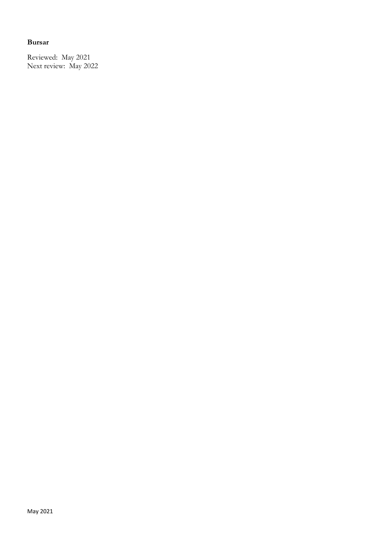# **Bursar**

Reviewed: May 2021 Next review: May 2022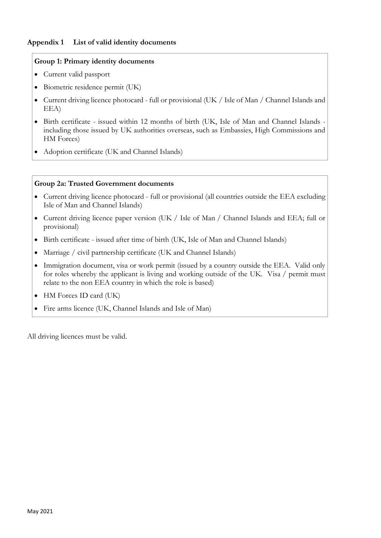# **Appendix 1 List of valid identity documents**

#### **Group 1: Primary identity documents**

- Current valid passport
- Biometric residence permit (UK)
- Current driving licence photocard full or provisional (UK / Isle of Man / Channel Islands and EEA)
- Birth certificate issued within 12 months of birth (UK, Isle of Man and Channel Islands including those issued by UK authorities overseas, such as Embassies, High Commissions and HM Forces)
- Adoption certificate (UK and Channel Islands)

#### **Group 2a: Trusted Government documents**

- Current driving licence photocard full or provisional (all countries outside the EEA excluding Isle of Man and Channel Islands)
- Current driving licence paper version (UK / Isle of Man / Channel Islands and EEA; full or provisional)
- Birth certificate issued after time of birth (UK, Isle of Man and Channel Islands)
- Marriage / civil partnership certificate (UK and Channel Islands)
- Immigration document, visa or work permit (issued by a country outside the EEA. Valid only for roles whereby the applicant is living and working outside of the UK. Visa / permit must relate to the non EEA country in which the role is based)
- HM Forces ID card (UK)
- Fire arms licence (UK, Channel Islands and Isle of Man)

All driving licences must be valid.